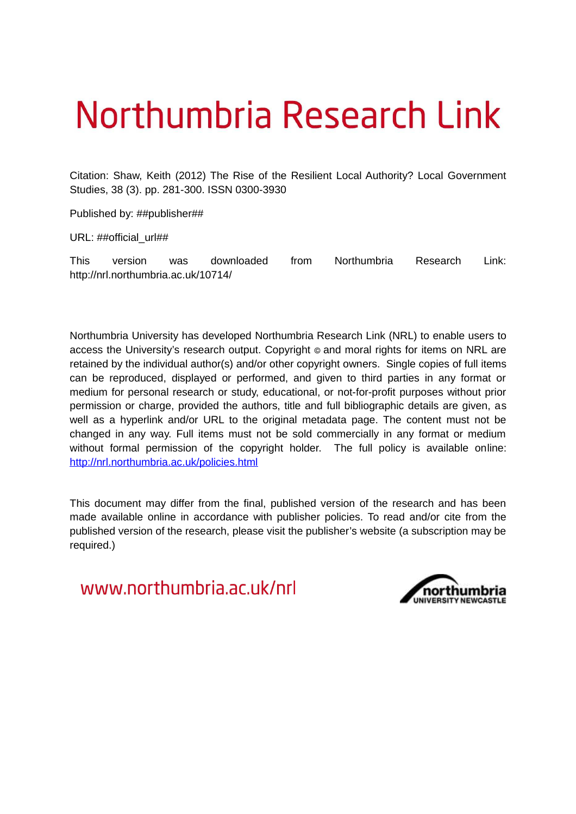# Northumbria Research Link

Citation: Shaw, Keith (2012) The Rise of the Resilient Local Authority? Local Government Studies, 38 (3). pp. 281-300. ISSN 0300-3930

Published by: ##publisher##

URL: ##official\_url##

This version was downloaded from Northumbria Research Link: http://nrl.northumbria.ac.uk/10714/

Northumbria University has developed Northumbria Research Link (NRL) to enable users to access the University's research output. Copyright © and moral rights for items on NRL are retained by the individual author(s) and/or other copyright owners. Single copies of full items can be reproduced, displayed or performed, and given to third parties in any format or medium for personal research or study, educational, or not-for-profit purposes without prior permission or charge, provided the authors, title and full bibliographic details are given, as well as a hyperlink and/or URL to the original metadata page. The content must not be changed in any way. Full items must not be sold commercially in any format or medium without formal permission of the copyright holder. The full policy is available online: <http://nrl.northumbria.ac.uk/policies.html>

This document may differ from the final, published version of the research and has been made available online in accordance with publisher policies. To read and/or cite from the published version of the research, please visit the publisher's website (a subscription may be required.)

www.northumbria.ac.uk/nrl

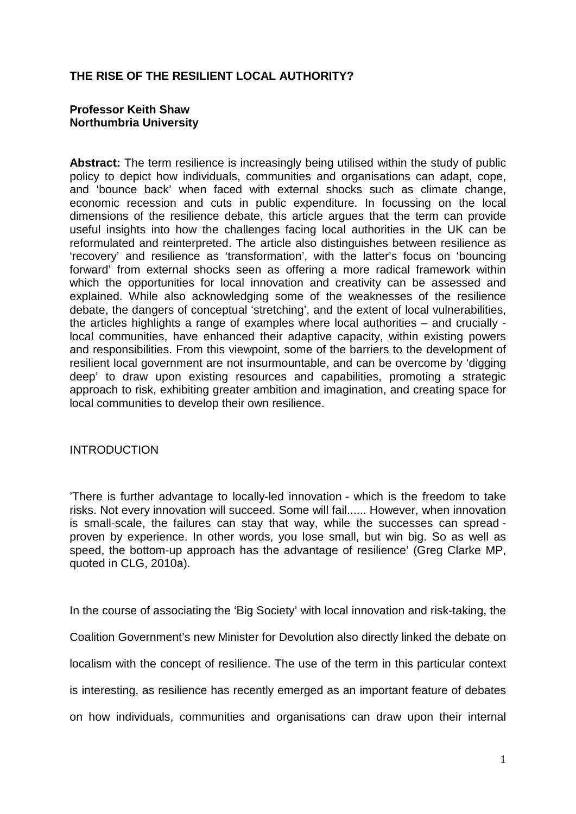# **THE RISE OF THE RESILIENT LOCAL AUTHORITY?**

## **Professor Keith Shaw Northumbria University**

**Abstract:** The term resilience is increasingly being utilised within the study of public policy to depict how individuals, communities and organisations can adapt, cope, and 'bounce back' when faced with external shocks such as climate change, economic recession and cuts in public expenditure. In focussing on the local dimensions of the resilience debate, this article argues that the term can provide useful insights into how the challenges facing local authorities in the UK can be reformulated and reinterpreted. The article also distinguishes between resilience as 'recovery' and resilience as 'transformation', with the latter's focus on 'bouncing forward' from external shocks seen as offering a more radical framework within which the opportunities for local innovation and creativity can be assessed and explained. While also acknowledging some of the weaknesses of the resilience debate, the dangers of conceptual 'stretching', and the extent of local vulnerabilities, the articles highlights a range of examples where local authorities – and crucially local communities, have enhanced their adaptive capacity, within existing powers and responsibilities. From this viewpoint, some of the barriers to the development of resilient local government are not insurmountable, and can be overcome by 'digging deep' to draw upon existing resources and capabilities, promoting a strategic approach to risk, exhibiting greater ambition and imagination, and creating space for local communities to develop their own resilience.

# INTRODUCTION

'There is further advantage to locally-led innovation - which is the freedom to take risks. Not every innovation will succeed. Some will fail...... However, when innovation is small-scale, the failures can stay that way, while the successes can spread proven by experience. In other words, you lose small, but win big. So as well as speed, the bottom-up approach has the advantage of resilience' (Greg Clarke MP, quoted in CLG, 2010a).

In the course of associating the 'Big Society' with local innovation and risk-taking, the Coalition Government's new Minister for Devolution also directly linked the debate on localism with the concept of resilience. The use of the term in this particular context is interesting, as resilience has recently emerged as an important feature of debates on how individuals, communities and organisations can draw upon their internal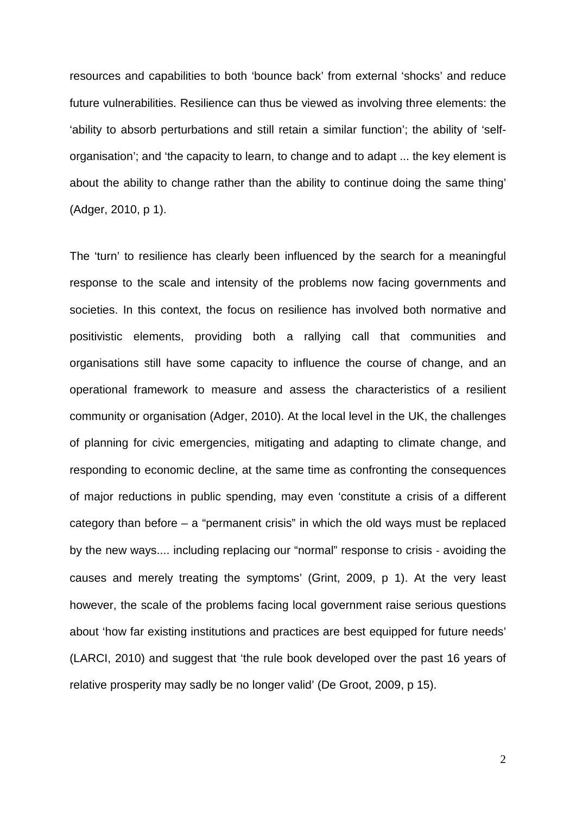resources and capabilities to both 'bounce back' from external 'shocks' and reduce future vulnerabilities. Resilience can thus be viewed as involving three elements: the 'ability to absorb perturbations and still retain a similar function'; the ability of 'selforganisation'; and 'the capacity to learn, to change and to adapt ... the key element is about the ability to change rather than the ability to continue doing the same thing' (Adger, 2010, p 1).

The 'turn' to resilience has clearly been influenced by the search for a meaningful response to the scale and intensity of the problems now facing governments and societies. In this context, the focus on resilience has involved both normative and positivistic elements, providing both a rallying call that communities and organisations still have some capacity to influence the course of change, and an operational framework to measure and assess the characteristics of a resilient community or organisation (Adger, 2010). At the local level in the UK, the challenges of planning for civic emergencies, mitigating and adapting to climate change, and responding to economic decline, at the same time as confronting the consequences of major reductions in public spending, may even 'constitute a crisis of a different category than before – a "permanent crisis" in which the old ways must be replaced by the new ways.... including replacing our "normal" response to crisis ‐ avoiding the causes and merely treating the symptoms' (Grint, 2009, p 1). At the very least however, the scale of the problems facing local government raise serious questions about 'how far existing institutions and practices are best equipped for future needs' (LARCI, 2010) and suggest that 'the rule book developed over the past 16 years of relative prosperity may sadly be no longer valid' (De Groot, 2009, p 15).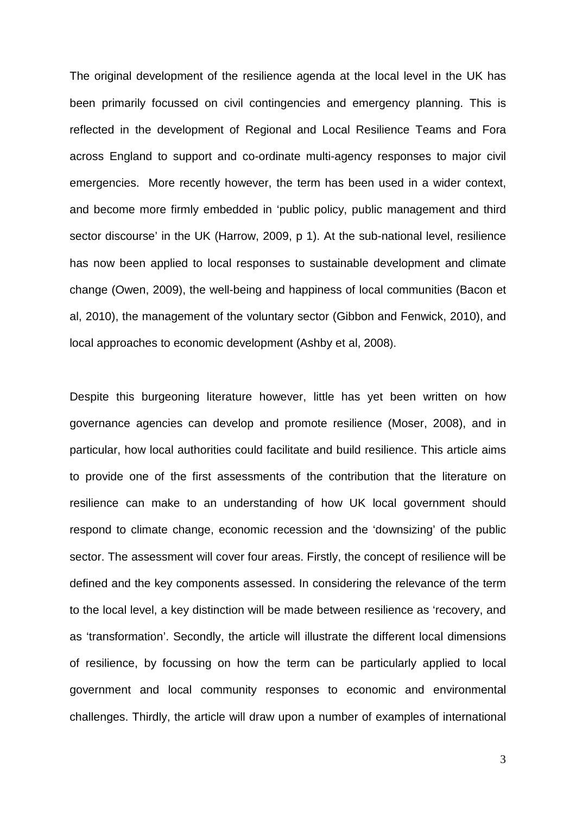The original development of the resilience agenda at the local level in the UK has been primarily focussed on civil contingencies and emergency planning. This is reflected in the development of Regional and Local Resilience Teams and Fora across England to support and co-ordinate multi-agency responses to major civil emergencies. More recently however, the term has been used in a wider context, and become more firmly embedded in 'public policy, public management and third sector discourse' in the UK (Harrow, 2009, p 1). At the sub-national level, resilience has now been applied to local responses to sustainable development and climate change (Owen, 2009), the well-being and happiness of local communities (Bacon et al, 2010), the management of the voluntary sector (Gibbon and Fenwick, 2010), and local approaches to economic development (Ashby et al, 2008).

Despite this burgeoning literature however, little has yet been written on how governance agencies can develop and promote resilience (Moser, 2008), and in particular, how local authorities could facilitate and build resilience. This article aims to provide one of the first assessments of the contribution that the literature on resilience can make to an understanding of how UK local government should respond to climate change, economic recession and the 'downsizing' of the public sector. The assessment will cover four areas. Firstly, the concept of resilience will be defined and the key components assessed. In considering the relevance of the term to the local level, a key distinction will be made between resilience as 'recovery, and as 'transformation'. Secondly, the article will illustrate the different local dimensions of resilience, by focussing on how the term can be particularly applied to local government and local community responses to economic and environmental challenges. Thirdly, the article will draw upon a number of examples of international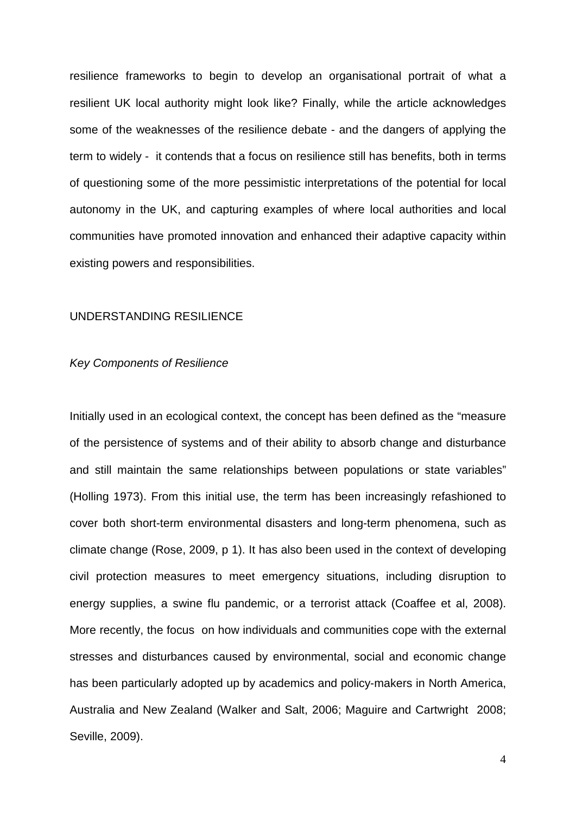resilience frameworks to begin to develop an organisational portrait of what a resilient UK local authority might look like? Finally, while the article acknowledges some of the weaknesses of the resilience debate - and the dangers of applying the term to widely - it contends that a focus on resilience still has benefits, both in terms of questioning some of the more pessimistic interpretations of the potential for local autonomy in the UK, and capturing examples of where local authorities and local communities have promoted innovation and enhanced their adaptive capacity within existing powers and responsibilities.

## UNDERSTANDING RESILIENCE

#### Key Components of Resilience

Initially used in an ecological context, the concept has been defined as the "measure of the persistence of systems and of their ability to absorb change and disturbance and still maintain the same relationships between populations or state variables" (Holling 1973). From this initial use, the term has been increasingly refashioned to cover both short-term environmental disasters and long-term phenomena, such as climate change (Rose, 2009, p 1). It has also been used in the context of developing civil protection measures to meet emergency situations, including disruption to energy supplies, a swine flu pandemic, or a terrorist attack (Coaffee et al, 2008). More recently, the focus on how individuals and communities cope with the external stresses and disturbances caused by environmental, social and economic change has been particularly adopted up by academics and policy-makers in North America, Australia and New Zealand (Walker and Salt, 2006; Maguire and Cartwright 2008; Seville, 2009).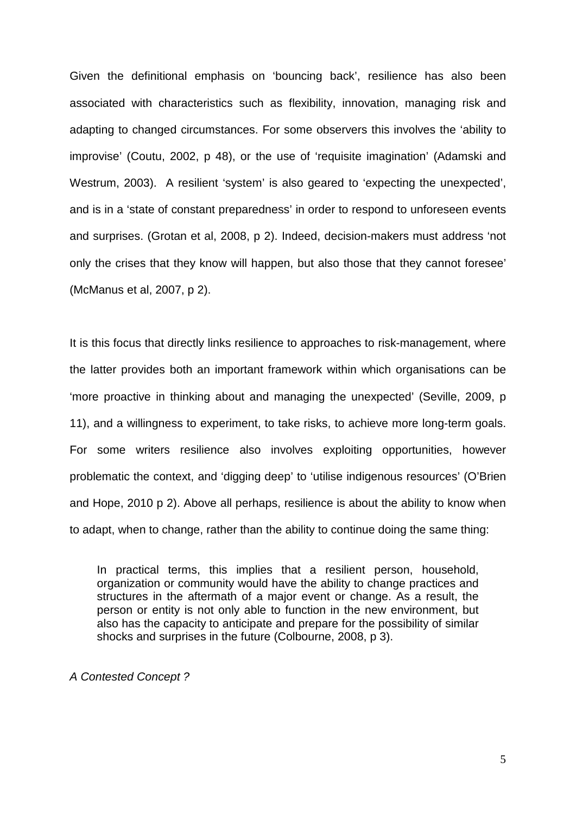Given the definitional emphasis on 'bouncing back', resilience has also been associated with characteristics such as flexibility, innovation, managing risk and adapting to changed circumstances. For some observers this involves the 'ability to improvise' (Coutu, 2002, p 48), or the use of 'requisite imagination' (Adamski and Westrum, 2003). A resilient 'system' is also geared to 'expecting the unexpected', and is in a 'state of constant preparedness' in order to respond to unforeseen events and surprises. (Grotan et al, 2008, p 2). Indeed, decision-makers must address 'not only the crises that they know will happen, but also those that they cannot foresee' (McManus et al, 2007, p 2).

It is this focus that directly links resilience to approaches to risk-management, where the latter provides both an important framework within which organisations can be 'more proactive in thinking about and managing the unexpected' (Seville, 2009, p 11), and a willingness to experiment, to take risks, to achieve more long-term goals. For some writers resilience also involves exploiting opportunities, however problematic the context, and 'digging deep' to 'utilise indigenous resources' (O'Brien and Hope, 2010 p 2). Above all perhaps, resilience is about the ability to know when to adapt, when to change, rather than the ability to continue doing the same thing:

In practical terms, this implies that a resilient person, household, organization or community would have the ability to change practices and structures in the aftermath of a major event or change. As a result, the person or entity is not only able to function in the new environment, but also has the capacity to anticipate and prepare for the possibility of similar shocks and surprises in the future (Colbourne, 2008, p 3).

A Contested Concept ?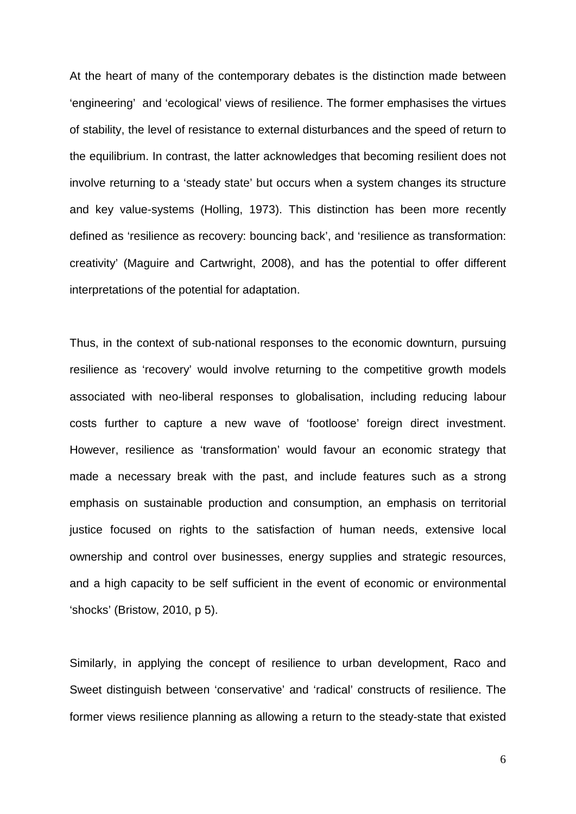At the heart of many of the contemporary debates is the distinction made between 'engineering' and 'ecological' views of resilience. The former emphasises the virtues of stability, the level of resistance to external disturbances and the speed of return to the equilibrium. In contrast, the latter acknowledges that becoming resilient does not involve returning to a 'steady state' but occurs when a system changes its structure and key value-systems (Holling, 1973). This distinction has been more recently defined as 'resilience as recovery: bouncing back', and 'resilience as transformation: creativity' (Maguire and Cartwright, 2008), and has the potential to offer different interpretations of the potential for adaptation.

Thus, in the context of sub-national responses to the economic downturn, pursuing resilience as 'recovery' would involve returning to the competitive growth models associated with neo-liberal responses to globalisation, including reducing labour costs further to capture a new wave of 'footloose' foreign direct investment. However, resilience as 'transformation' would favour an economic strategy that made a necessary break with the past, and include features such as a strong emphasis on sustainable production and consumption, an emphasis on territorial justice focused on rights to the satisfaction of human needs, extensive local ownership and control over businesses, energy supplies and strategic resources, and a high capacity to be self sufficient in the event of economic or environmental 'shocks' (Bristow, 2010, p 5).

Similarly, in applying the concept of resilience to urban development, Raco and Sweet distinguish between 'conservative' and 'radical' constructs of resilience. The former views resilience planning as allowing a return to the steady-state that existed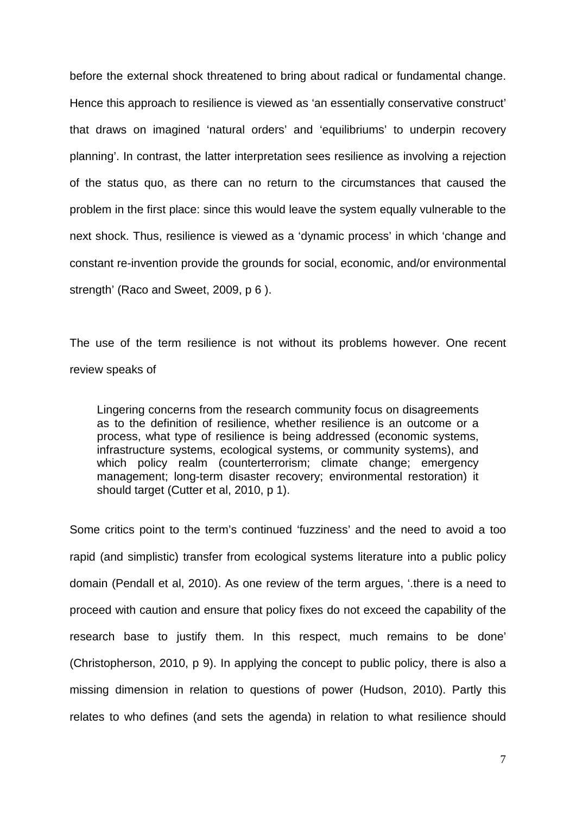before the external shock threatened to bring about radical or fundamental change. Hence this approach to resilience is viewed as 'an essentially conservative construct' that draws on imagined 'natural orders' and 'equilibriums' to underpin recovery planning'. In contrast, the latter interpretation sees resilience as involving a rejection of the status quo, as there can no return to the circumstances that caused the problem in the first place: since this would leave the system equally vulnerable to the next shock. Thus, resilience is viewed as a 'dynamic process' in which 'change and constant re-invention provide the grounds for social, economic, and/or environmental strength' (Raco and Sweet, 2009, p 6 ).

The use of the term resilience is not without its problems however. One recent review speaks of

Lingering concerns from the research community focus on disagreements as to the definition of resilience, whether resilience is an outcome or a process, what type of resilience is being addressed (economic systems, infrastructure systems, ecological systems, or community systems), and which policy realm (counterterrorism; climate change; emergency management; long-term disaster recovery; environmental restoration) it should target (Cutter et al, 2010, p 1).

Some critics point to the term's continued 'fuzziness' and the need to avoid a too rapid (and simplistic) transfer from ecological systems literature into a public policy domain (Pendall et al, 2010). As one review of the term argues, '.there is a need to proceed with caution and ensure that policy fixes do not exceed the capability of the research base to justify them. In this respect, much remains to be done' (Christopherson, 2010, p 9). In applying the concept to public policy, there is also a missing dimension in relation to questions of power (Hudson, 2010). Partly this relates to who defines (and sets the agenda) in relation to what resilience should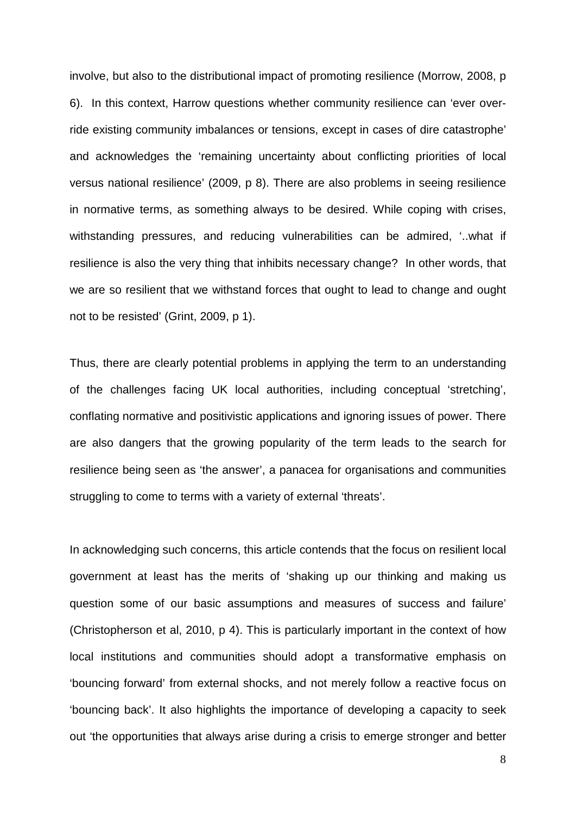involve, but also to the distributional impact of promoting resilience (Morrow, 2008, p 6). In this context, Harrow questions whether community resilience can 'ever override existing community imbalances or tensions, except in cases of dire catastrophe' and acknowledges the 'remaining uncertainty about conflicting priorities of local versus national resilience' (2009, p 8). There are also problems in seeing resilience in normative terms, as something always to be desired. While coping with crises, withstanding pressures, and reducing vulnerabilities can be admired, '..what if resilience is also the very thing that inhibits necessary change? In other words, that we are so resilient that we withstand forces that ought to lead to change and ought not to be resisted' (Grint, 2009, p 1).

Thus, there are clearly potential problems in applying the term to an understanding of the challenges facing UK local authorities, including conceptual 'stretching', conflating normative and positivistic applications and ignoring issues of power. There are also dangers that the growing popularity of the term leads to the search for resilience being seen as 'the answer', a panacea for organisations and communities struggling to come to terms with a variety of external 'threats'.

In acknowledging such concerns, this article contends that the focus on resilient local government at least has the merits of 'shaking up our thinking and making us question some of our basic assumptions and measures of success and failure' (Christopherson et al, 2010, p 4). This is particularly important in the context of how local institutions and communities should adopt a transformative emphasis on 'bouncing forward' from external shocks, and not merely follow a reactive focus on 'bouncing back'. It also highlights the importance of developing a capacity to seek out 'the opportunities that always arise during a crisis to emerge stronger and better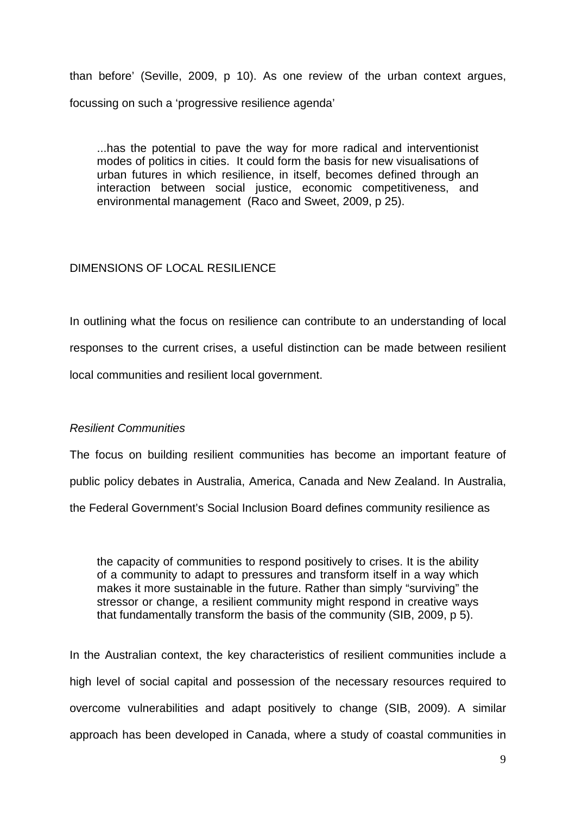than before' (Seville, 2009, p 10). As one review of the urban context argues, focussing on such a 'progressive resilience agenda'

...has the potential to pave the way for more radical and interventionist modes of politics in cities. It could form the basis for new visualisations of urban futures in which resilience, in itself, becomes defined through an interaction between social justice, economic competitiveness, and environmental management (Raco and Sweet, 2009, p 25).

# DIMENSIONS OF LOCAL RESILIENCE

In outlining what the focus on resilience can contribute to an understanding of local responses to the current crises, a useful distinction can be made between resilient local communities and resilient local government.

# Resilient Communities

The focus on building resilient communities has become an important feature of public policy debates in Australia, America, Canada and New Zealand. In Australia, the Federal Government's Social Inclusion Board defines community resilience as

the capacity of communities to respond positively to crises. It is the ability of a community to adapt to pressures and transform itself in a way which makes it more sustainable in the future. Rather than simply "surviving" the stressor or change, a resilient community might respond in creative ways that fundamentally transform the basis of the community (SIB, 2009, p 5).

In the Australian context, the key characteristics of resilient communities include a high level of social capital and possession of the necessary resources required to overcome vulnerabilities and adapt positively to change (SIB, 2009). A similar approach has been developed in Canada, where a study of coastal communities in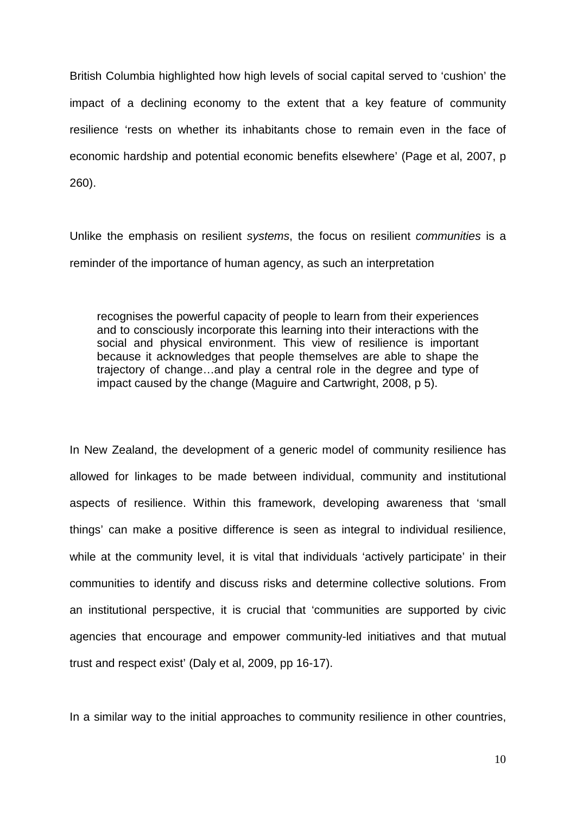British Columbia highlighted how high levels of social capital served to 'cushion' the impact of a declining economy to the extent that a key feature of community resilience 'rests on whether its inhabitants chose to remain even in the face of economic hardship and potential economic benefits elsewhere' (Page et al, 2007, p 260).

Unlike the emphasis on resilient systems, the focus on resilient communities is a reminder of the importance of human agency, as such an interpretation

recognises the powerful capacity of people to learn from their experiences and to consciously incorporate this learning into their interactions with the social and physical environment. This view of resilience is important because it acknowledges that people themselves are able to shape the trajectory of change…and play a central role in the degree and type of impact caused by the change (Maguire and Cartwright, 2008, p 5).

In New Zealand, the development of a generic model of community resilience has allowed for linkages to be made between individual, community and institutional aspects of resilience. Within this framework, developing awareness that 'small things' can make a positive difference is seen as integral to individual resilience, while at the community level, it is vital that individuals 'actively participate' in their communities to identify and discuss risks and determine collective solutions. From an institutional perspective, it is crucial that 'communities are supported by civic agencies that encourage and empower community-led initiatives and that mutual trust and respect exist' (Daly et al, 2009, pp 16-17).

In a similar way to the initial approaches to community resilience in other countries,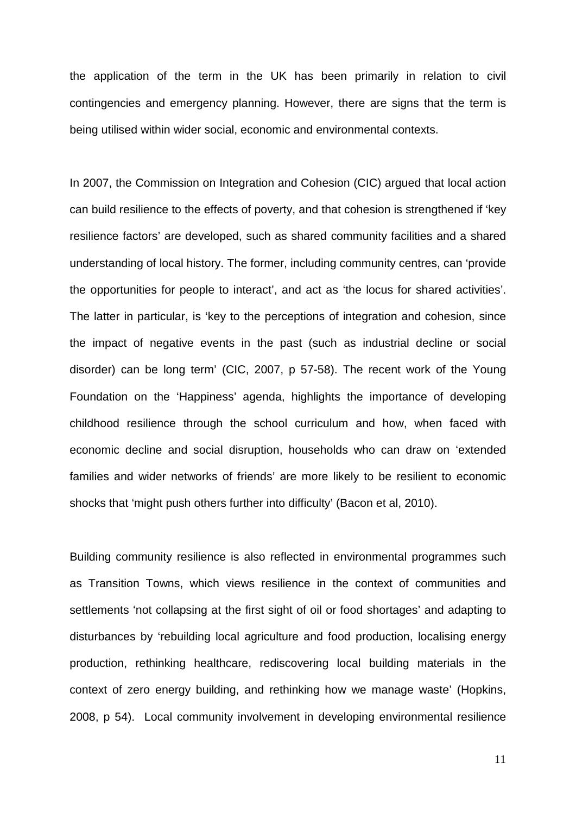the application of the term in the UK has been primarily in relation to civil contingencies and emergency planning. However, there are signs that the term is being utilised within wider social, economic and environmental contexts.

In 2007, the Commission on Integration and Cohesion (CIC) argued that local action can build resilience to the effects of poverty, and that cohesion is strengthened if 'key resilience factors' are developed, such as shared community facilities and a shared understanding of local history. The former, including community centres, can 'provide the opportunities for people to interact', and act as 'the locus for shared activities'. The latter in particular, is 'key to the perceptions of integration and cohesion, since the impact of negative events in the past (such as industrial decline or social disorder) can be long term' (CIC, 2007, p 57-58). The recent work of the Young Foundation on the 'Happiness' agenda, highlights the importance of developing childhood resilience through the school curriculum and how, when faced with economic decline and social disruption, households who can draw on 'extended families and wider networks of friends' are more likely to be resilient to economic shocks that 'might push others further into difficulty' (Bacon et al, 2010).

Building community resilience is also reflected in environmental programmes such as Transition Towns, which views resilience in the context of communities and settlements 'not collapsing at the first sight of oil or food shortages' and adapting to disturbances by 'rebuilding local agriculture and food production, localising energy production, rethinking healthcare, rediscovering local building materials in the context of zero energy building, and rethinking how we manage waste' (Hopkins, 2008, p 54). Local community involvement in developing environmental resilience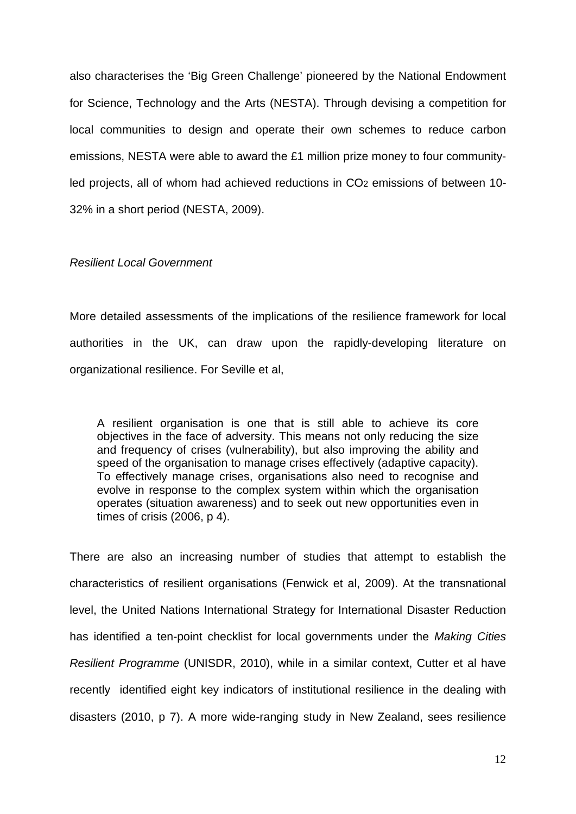also characterises the 'Big Green Challenge' pioneered by the National Endowment for Science, Technology and the Arts (NESTA). Through devising a competition for local communities to design and operate their own schemes to reduce carbon emissions, NESTA were able to award the £1 million prize money to four communityled projects, all of whom had achieved reductions in CO<sub>2</sub> emissions of between 10-32% in a short period (NESTA, 2009).

## Resilient Local Government

More detailed assessments of the implications of the resilience framework for local authorities in the UK, can draw upon the rapidly-developing literature on organizational resilience. For Seville et al,

A resilient organisation is one that is still able to achieve its core objectives in the face of adversity. This means not only reducing the size and frequency of crises (vulnerability), but also improving the ability and speed of the organisation to manage crises effectively (adaptive capacity). To effectively manage crises, organisations also need to recognise and evolve in response to the complex system within which the organisation operates (situation awareness) and to seek out new opportunities even in times of crisis (2006, p 4).

There are also an increasing number of studies that attempt to establish the characteristics of resilient organisations (Fenwick et al, 2009). At the transnational level, the United Nations International Strategy for International Disaster Reduction has identified a ten-point checklist for local governments under the Making Cities Resilient Programme (UNISDR, 2010), while in a similar context, Cutter et al have recently identified eight key indicators of institutional resilience in the dealing with disasters (2010, p 7). A more wide-ranging study in New Zealand, sees resilience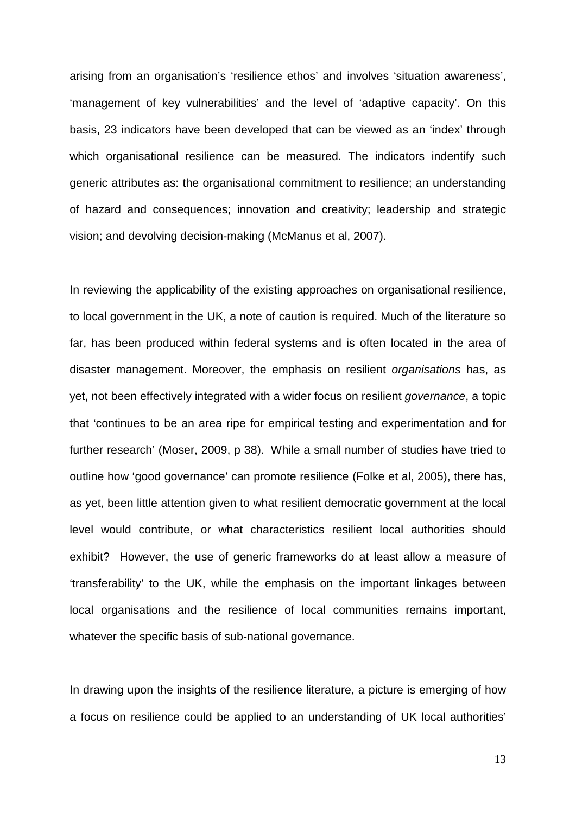arising from an organisation's 'resilience ethos' and involves 'situation awareness', 'management of key vulnerabilities' and the level of 'adaptive capacity'. On this basis, 23 indicators have been developed that can be viewed as an 'index' through which organisational resilience can be measured. The indicators indentify such generic attributes as: the organisational commitment to resilience; an understanding of hazard and consequences; innovation and creativity; leadership and strategic vision; and devolving decision-making (McManus et al, 2007).

In reviewing the applicability of the existing approaches on organisational resilience, to local government in the UK, a note of caution is required. Much of the literature so far, has been produced within federal systems and is often located in the area of disaster management. Moreover, the emphasis on resilient organisations has, as yet, not been effectively integrated with a wider focus on resilient governance, a topic that 'continues to be an area ripe for empirical testing and experimentation and for further research' (Moser, 2009, p 38). While a small number of studies have tried to outline how 'good governance' can promote resilience (Folke et al, 2005), there has, as yet, been little attention given to what resilient democratic government at the local level would contribute, or what characteristics resilient local authorities should exhibit? However, the use of generic frameworks do at least allow a measure of 'transferability' to the UK, while the emphasis on the important linkages between local organisations and the resilience of local communities remains important, whatever the specific basis of sub-national governance.

In drawing upon the insights of the resilience literature, a picture is emerging of how a focus on resilience could be applied to an understanding of UK local authorities'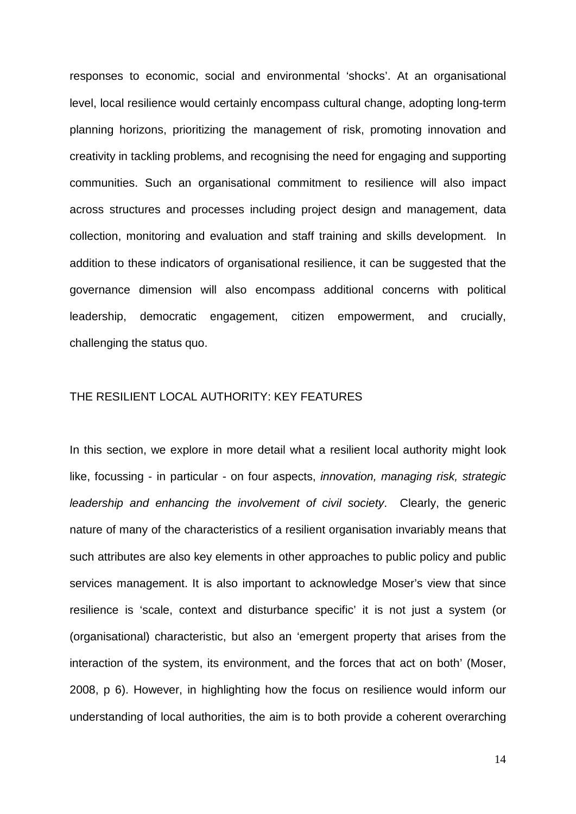responses to economic, social and environmental 'shocks'. At an organisational level, local resilience would certainly encompass cultural change, adopting long-term planning horizons, prioritizing the management of risk, promoting innovation and creativity in tackling problems, and recognising the need for engaging and supporting communities. Such an organisational commitment to resilience will also impact across structures and processes including project design and management, data collection, monitoring and evaluation and staff training and skills development. In addition to these indicators of organisational resilience, it can be suggested that the governance dimension will also encompass additional concerns with political leadership, democratic engagement, citizen empowerment, and crucially, challenging the status quo.

# THE RESILIENT LOCAL AUTHORITY: KEY FEATURES

In this section, we explore in more detail what a resilient local authority might look like, focussing - in particular - on four aspects, *innovation, managing risk, strategic* leadership and enhancing the involvement of civil society. Clearly, the generic nature of many of the characteristics of a resilient organisation invariably means that such attributes are also key elements in other approaches to public policy and public services management. It is also important to acknowledge Moser's view that since resilience is 'scale, context and disturbance specific' it is not just a system (or (organisational) characteristic, but also an 'emergent property that arises from the interaction of the system, its environment, and the forces that act on both' (Moser, 2008, p 6). However, in highlighting how the focus on resilience would inform our understanding of local authorities, the aim is to both provide a coherent overarching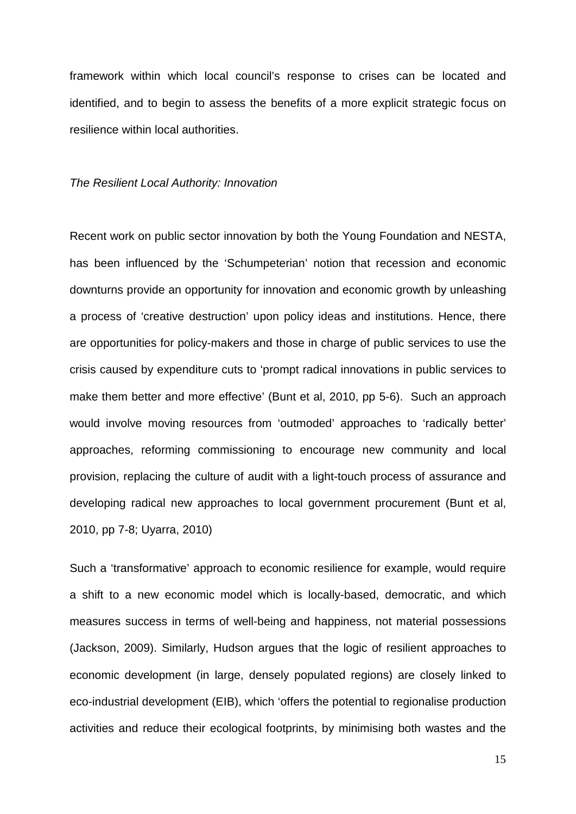framework within which local council's response to crises can be located and identified, and to begin to assess the benefits of a more explicit strategic focus on resilience within local authorities.

#### The Resilient Local Authority: Innovation

Recent work on public sector innovation by both the Young Foundation and NESTA, has been influenced by the 'Schumpeterian' notion that recession and economic downturns provide an opportunity for innovation and economic growth by unleashing a process of 'creative destruction' upon policy ideas and institutions. Hence, there are opportunities for policy-makers and those in charge of public services to use the crisis caused by expenditure cuts to 'prompt radical innovations in public services to make them better and more effective' (Bunt et al, 2010, pp 5-6). Such an approach would involve moving resources from 'outmoded' approaches to 'radically better' approaches, reforming commissioning to encourage new community and local provision, replacing the culture of audit with a light-touch process of assurance and developing radical new approaches to local government procurement (Bunt et al, 2010, pp 7-8; Uyarra, 2010)

Such a 'transformative' approach to economic resilience for example, would require a shift to a new economic model which is locally-based, democratic, and which measures success in terms of well-being and happiness, not material possessions (Jackson, 2009). Similarly, Hudson argues that the logic of resilient approaches to economic development (in large, densely populated regions) are closely linked to eco-industrial development (EIB), which 'offers the potential to regionalise production activities and reduce their ecological footprints, by minimising both wastes and the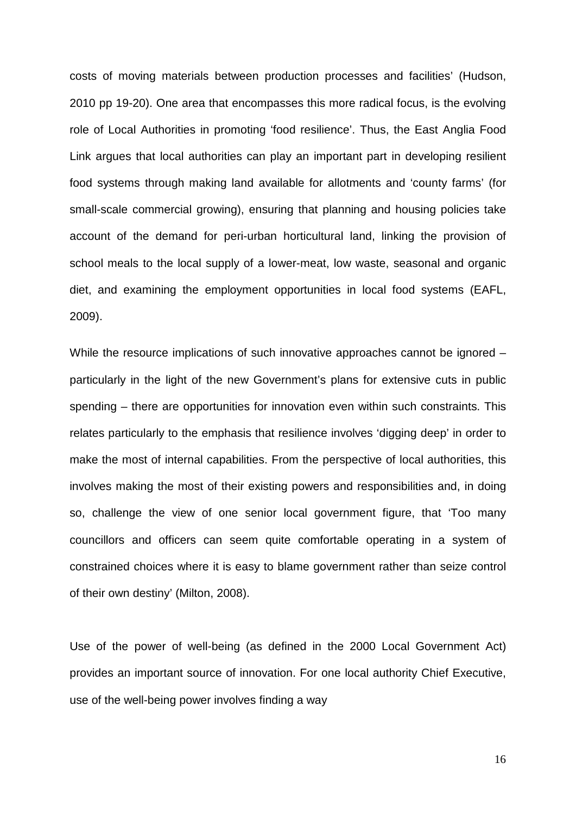costs of moving materials between production processes and facilities' (Hudson, 2010 pp 19-20). One area that encompasses this more radical focus, is the evolving role of Local Authorities in promoting 'food resilience'. Thus, the East Anglia Food Link argues that local authorities can play an important part in developing resilient food systems through making land available for allotments and 'county farms' (for small-scale commercial growing), ensuring that planning and housing policies take account of the demand for peri-urban horticultural land, linking the provision of school meals to the local supply of a lower-meat, low waste, seasonal and organic diet, and examining the employment opportunities in local food systems (EAFL, 2009).

While the resource implications of such innovative approaches cannot be ignored – particularly in the light of the new Government's plans for extensive cuts in public spending – there are opportunities for innovation even within such constraints. This relates particularly to the emphasis that resilience involves 'digging deep' in order to make the most of internal capabilities. From the perspective of local authorities, this involves making the most of their existing powers and responsibilities and, in doing so, challenge the view of one senior local government figure, that 'Too many councillors and officers can seem quite comfortable operating in a system of constrained choices where it is easy to blame government rather than seize control of their own destiny' (Milton, 2008).

Use of the power of well-being (as defined in the 2000 Local Government Act) provides an important source of innovation. For one local authority Chief Executive, use of the well-being power involves finding a way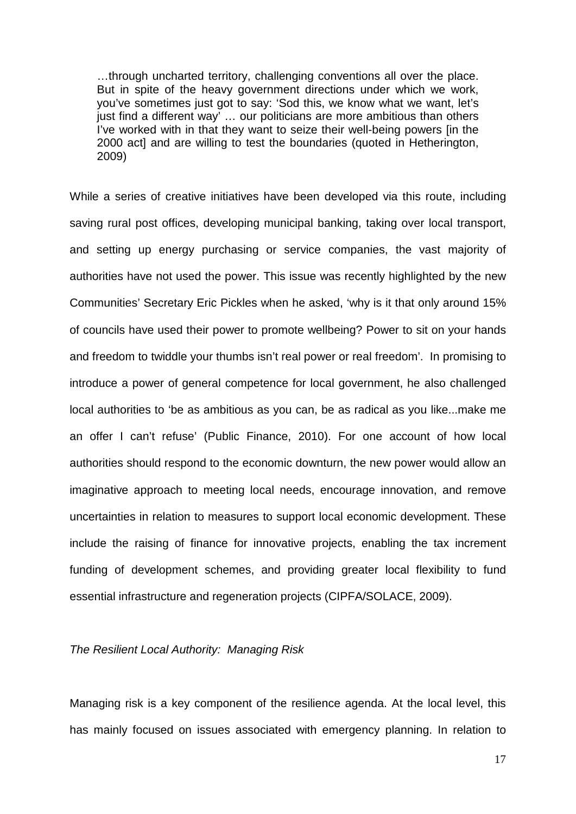…through uncharted territory, challenging conventions all over the place. But in spite of the heavy government directions under which we work, you've sometimes just got to say: 'Sod this, we know what we want, let's just find a different way<sup>7</sup> ... our politicians are more ambitious than others I've worked with in that they want to seize their well-being powers [in the 2000 act] and are willing to test the boundaries (quoted in Hetherington, 2009)

While a series of creative initiatives have been developed via this route, including saving rural post offices, developing municipal banking, taking over local transport, and setting up energy purchasing or service companies, the vast majority of authorities have not used the power. This issue was recently highlighted by the new Communities' Secretary Eric Pickles when he asked, 'why is it that only around 15% of councils have used their power to promote wellbeing? Power to sit on your hands and freedom to twiddle your thumbs isn't real power or real freedom'. In promising to introduce a power of general competence for local government, he also challenged local authorities to 'be as ambitious as you can, be as radical as you like...make me an offer I can't refuse' (Public Finance, 2010). For one account of how local authorities should respond to the economic downturn, the new power would allow an imaginative approach to meeting local needs, encourage innovation, and remove uncertainties in relation to measures to support local economic development. These include the raising of finance for innovative projects, enabling the tax increment funding of development schemes, and providing greater local flexibility to fund essential infrastructure and regeneration projects (CIPFA/SOLACE, 2009).

## The Resilient Local Authority: Managing Risk

Managing risk is a key component of the resilience agenda. At the local level, this has mainly focused on issues associated with emergency planning. In relation to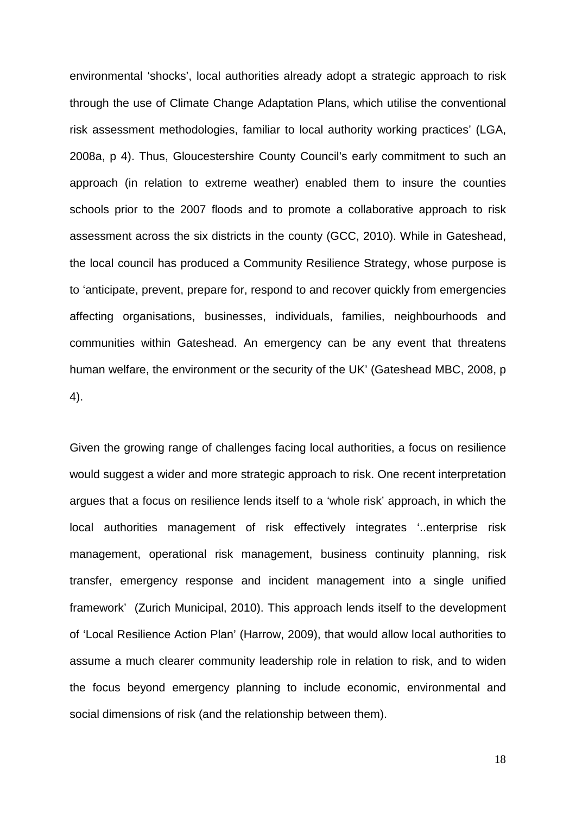environmental 'shocks', local authorities already adopt a strategic approach to risk through the use of Climate Change Adaptation Plans, which utilise the conventional risk assessment methodologies, familiar to local authority working practices' (LGA, 2008a, p 4). Thus, Gloucestershire County Council's early commitment to such an approach (in relation to extreme weather) enabled them to insure the counties schools prior to the 2007 floods and to promote a collaborative approach to risk assessment across the six districts in the county (GCC, 2010). While in Gateshead, the local council has produced a Community Resilience Strategy, whose purpose is to 'anticipate, prevent, prepare for, respond to and recover quickly from emergencies affecting organisations, businesses, individuals, families, neighbourhoods and communities within Gateshead. An emergency can be any event that threatens human welfare, the environment or the security of the UK' (Gateshead MBC, 2008, p 4).

Given the growing range of challenges facing local authorities, a focus on resilience would suggest a wider and more strategic approach to risk. One recent interpretation argues that a focus on resilience lends itself to a 'whole risk' approach, in which the local authorities management of risk effectively integrates '..enterprise risk management, operational risk management, business continuity planning, risk transfer, emergency response and incident management into a single unified framework' (Zurich Municipal, 2010). This approach lends itself to the development of 'Local Resilience Action Plan' (Harrow, 2009), that would allow local authorities to assume a much clearer community leadership role in relation to risk, and to widen the focus beyond emergency planning to include economic, environmental and social dimensions of risk (and the relationship between them).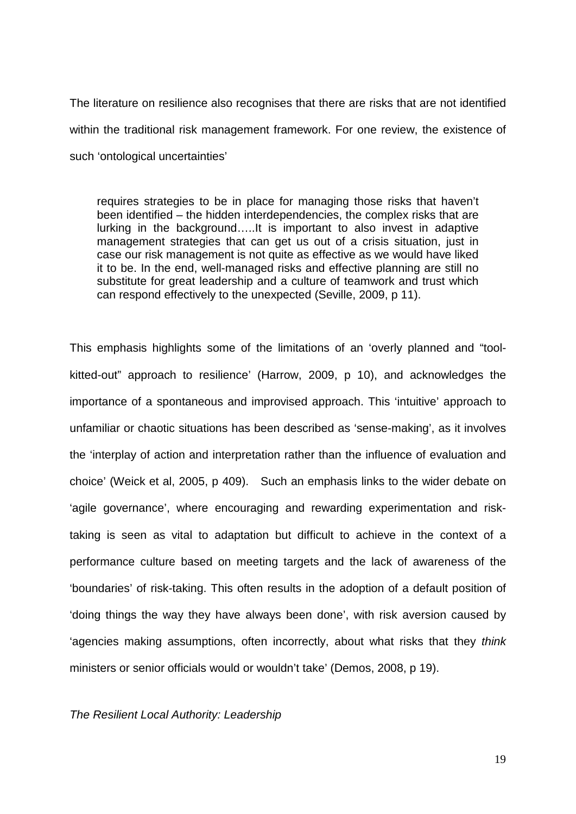The literature on resilience also recognises that there are risks that are not identified within the traditional risk management framework. For one review, the existence of such 'ontological uncertainties'

requires strategies to be in place for managing those risks that haven't been identified – the hidden interdependencies, the complex risks that are lurking in the background…..It is important to also invest in adaptive management strategies that can get us out of a crisis situation, just in case our risk management is not quite as effective as we would have liked it to be. In the end, well-managed risks and effective planning are still no substitute for great leadership and a culture of teamwork and trust which can respond effectively to the unexpected (Seville, 2009, p 11).

This emphasis highlights some of the limitations of an 'overly planned and "toolkitted-out" approach to resilience' (Harrow, 2009, p 10), and acknowledges the importance of a spontaneous and improvised approach. This 'intuitive' approach to unfamiliar or chaotic situations has been described as 'sense-making', as it involves the 'interplay of action and interpretation rather than the influence of evaluation and choice' (Weick et al, 2005, p 409). Such an emphasis links to the wider debate on 'agile governance', where encouraging and rewarding experimentation and risktaking is seen as vital to adaptation but difficult to achieve in the context of a performance culture based on meeting targets and the lack of awareness of the 'boundaries' of risk-taking. This often results in the adoption of a default position of 'doing things the way they have always been done', with risk aversion caused by 'agencies making assumptions, often incorrectly, about what risks that they think ministers or senior officials would or wouldn't take' (Demos, 2008, p 19).

## The Resilient Local Authority: Leadership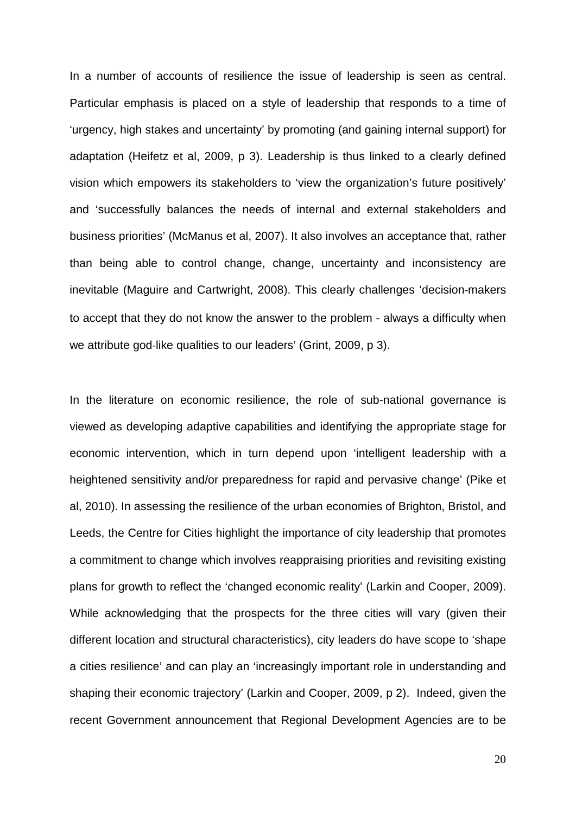In a number of accounts of resilience the issue of leadership is seen as central. Particular emphasis is placed on a style of leadership that responds to a time of 'urgency, high stakes and uncertainty' by promoting (and gaining internal support) for adaptation (Heifetz et al, 2009, p 3). Leadership is thus linked to a clearly defined vision which empowers its stakeholders to 'view the organization's future positively' and 'successfully balances the needs of internal and external stakeholders and business priorities' (McManus et al, 2007). It also involves an acceptance that, rather than being able to control change, change, uncertainty and inconsistency are inevitable (Maguire and Cartwright, 2008). This clearly challenges 'decision‐makers to accept that they do not know the answer to the problem - always a difficulty when we attribute god-like qualities to our leaders' (Grint, 2009, p 3).

In the literature on economic resilience, the role of sub-national governance is viewed as developing adaptive capabilities and identifying the appropriate stage for economic intervention, which in turn depend upon 'intelligent leadership with a heightened sensitivity and/or preparedness for rapid and pervasive change' (Pike et al, 2010). In assessing the resilience of the urban economies of Brighton, Bristol, and Leeds, the Centre for Cities highlight the importance of city leadership that promotes a commitment to change which involves reappraising priorities and revisiting existing plans for growth to reflect the 'changed economic reality' (Larkin and Cooper, 2009). While acknowledging that the prospects for the three cities will vary (given their different location and structural characteristics), city leaders do have scope to 'shape a cities resilience' and can play an 'increasingly important role in understanding and shaping their economic trajectory' (Larkin and Cooper, 2009, p 2). Indeed, given the recent Government announcement that Regional Development Agencies are to be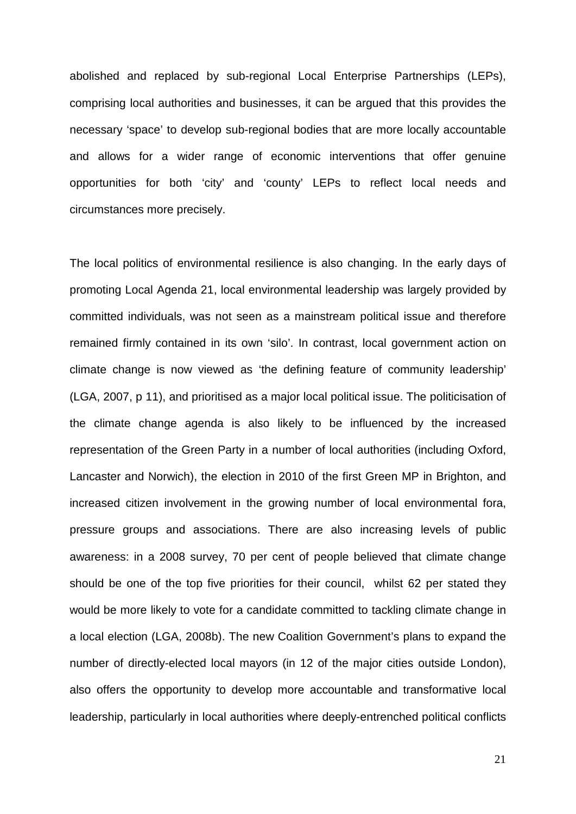abolished and replaced by sub-regional Local Enterprise Partnerships (LEPs), comprising local authorities and businesses, it can be argued that this provides the necessary 'space' to develop sub-regional bodies that are more locally accountable and allows for a wider range of economic interventions that offer genuine opportunities for both 'city' and 'county' LEPs to reflect local needs and circumstances more precisely.

The local politics of environmental resilience is also changing. In the early days of promoting Local Agenda 21, local environmental leadership was largely provided by committed individuals, was not seen as a mainstream political issue and therefore remained firmly contained in its own 'silo'. In contrast, local government action on climate change is now viewed as 'the defining feature of community leadership' (LGA, 2007, p 11), and prioritised as a major local political issue. The politicisation of the climate change agenda is also likely to be influenced by the increased representation of the Green Party in a number of local authorities (including Oxford, Lancaster and Norwich), the election in 2010 of the first Green MP in Brighton, and increased citizen involvement in the growing number of local environmental fora, pressure groups and associations. There are also increasing levels of public awareness: in a 2008 survey, 70 per cent of people believed that climate change should be one of the top five priorities for their council, whilst 62 per stated they would be more likely to vote for a candidate committed to tackling climate change in a local election (LGA, 2008b). The new Coalition Government's plans to expand the number of directly-elected local mayors (in 12 of the major cities outside London), also offers the opportunity to develop more accountable and transformative local leadership, particularly in local authorities where deeply-entrenched political conflicts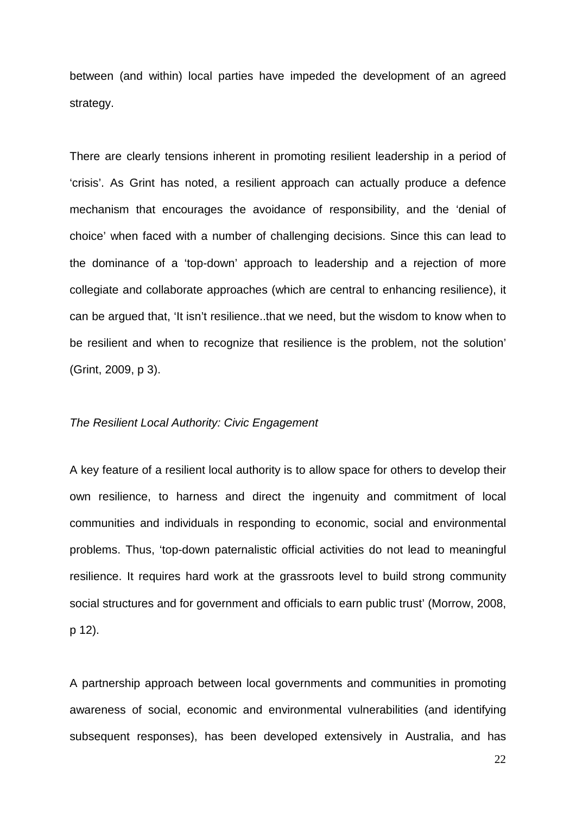between (and within) local parties have impeded the development of an agreed strategy.

There are clearly tensions inherent in promoting resilient leadership in a period of 'crisis'. As Grint has noted, a resilient approach can actually produce a defence mechanism that encourages the avoidance of responsibility, and the 'denial of choice' when faced with a number of challenging decisions. Since this can lead to the dominance of a 'top-down' approach to leadership and a rejection of more collegiate and collaborate approaches (which are central to enhancing resilience), it can be argued that, 'It isn't resilience..that we need, but the wisdom to know when to be resilient and when to recognize that resilience is the problem, not the solution' (Grint, 2009, p 3).

#### The Resilient Local Authority: Civic Engagement

A key feature of a resilient local authority is to allow space for others to develop their own resilience, to harness and direct the ingenuity and commitment of local communities and individuals in responding to economic, social and environmental problems. Thus, 'top-down paternalistic official activities do not lead to meaningful resilience. It requires hard work at the grassroots level to build strong community social structures and for government and officials to earn public trust' (Morrow, 2008, p 12).

A partnership approach between local governments and communities in promoting awareness of social, economic and environmental vulnerabilities (and identifying subsequent responses), has been developed extensively in Australia, and has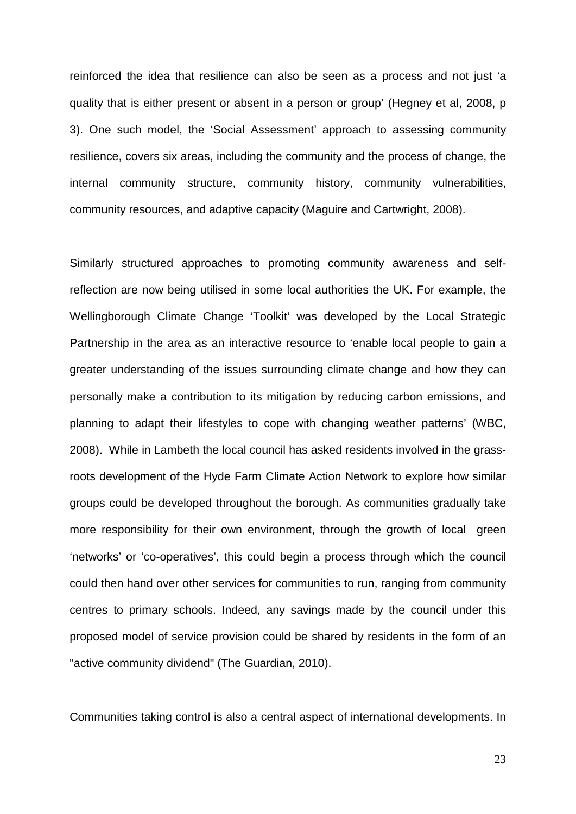reinforced the idea that resilience can also be seen as a process and not just 'a quality that is either present or absent in a person or group' (Hegney et al, 2008, p 3). One such model, the 'Social Assessment' approach to assessing community resilience, covers six areas, including the community and the process of change, the internal community structure, community history, community vulnerabilities, community resources, and adaptive capacity (Maguire and Cartwright, 2008).

Similarly structured approaches to promoting community awareness and selfreflection are now being utilised in some local authorities the UK. For example, the Wellingborough Climate Change 'Toolkit' was developed by the Local Strategic Partnership in the area as an interactive resource to 'enable local people to gain a greater understanding of the issues surrounding climate change and how they can personally make a contribution to its mitigation by reducing carbon emissions, and planning to adapt their lifestyles to cope with changing weather patterns' (WBC, 2008). While in Lambeth the local council has asked residents involved in the grassroots development of the Hyde Farm Climate Action Network to explore how similar groups could be developed throughout the borough. As communities gradually take more responsibility for their own environment, through the growth of local green 'networks' or 'co-operatives', this could begin a process through which the council could then hand over other services for communities to run, ranging from community centres to primary schools. Indeed, any savings made by the council under this proposed model of service provision could be shared by residents in the form of an "active community dividend" (The Guardian, 2010).

Communities taking control is also a central aspect of international developments. In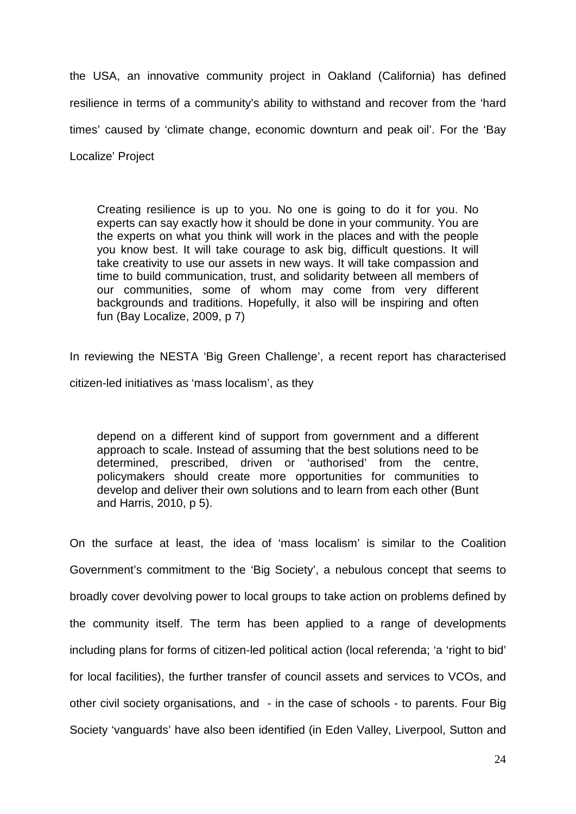the USA, an innovative community project in Oakland (California) has defined resilience in terms of a community's ability to withstand and recover from the 'hard times' caused by 'climate change, economic downturn and peak oil'. For the 'Bay Localize' Project

Creating resilience is up to you. No one is going to do it for you. No experts can say exactly how it should be done in your community. You are the experts on what you think will work in the places and with the people you know best. It will take courage to ask big, difficult questions. It will take creativity to use our assets in new ways. It will take compassion and time to build communication, trust, and solidarity between all members of our communities, some of whom may come from very different backgrounds and traditions. Hopefully, it also will be inspiring and often fun (Bay Localize, 2009, p 7)

In reviewing the NESTA 'Big Green Challenge', a recent report has characterised citizen-led initiatives as 'mass localism', as they

depend on a different kind of support from government and a different approach to scale. Instead of assuming that the best solutions need to be determined, prescribed, driven or 'authorised' from the centre, policymakers should create more opportunities for communities to develop and deliver their own solutions and to learn from each other (Bunt and Harris, 2010, p 5).

On the surface at least, the idea of 'mass localism' is similar to the Coalition Government's commitment to the 'Big Society', a nebulous concept that seems to broadly cover devolving power to local groups to take action on problems defined by the community itself. The term has been applied to a range of developments including plans for forms of citizen-led political action (local referenda; 'a 'right to bid' for local facilities), the further transfer of council assets and services to VCOs, and other civil society organisations, and - in the case of schools - to parents. Four Big Society 'vanguards' have also been identified (in Eden Valley, Liverpool, Sutton and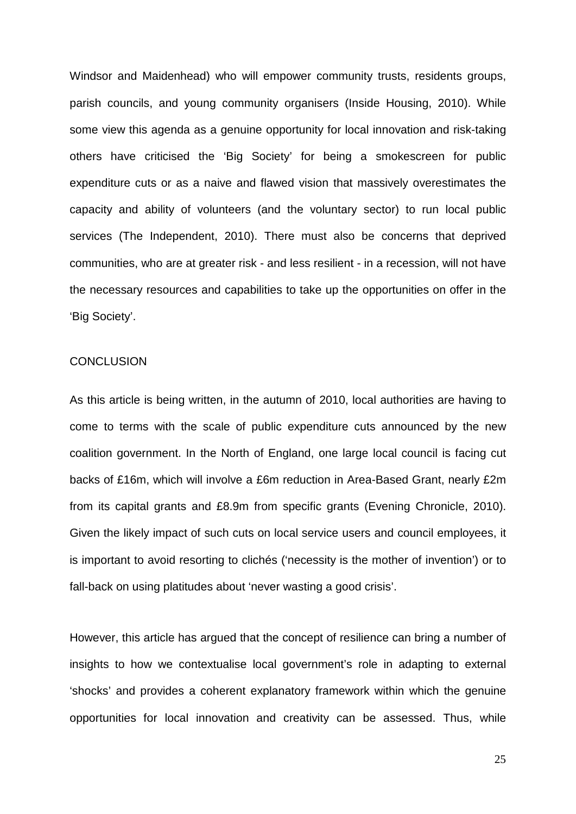Windsor and Maidenhead) who will empower community trusts, residents groups, parish councils, and young community organisers (Inside Housing, 2010). While some view this agenda as a genuine opportunity for local innovation and risk-taking others have criticised the 'Big Society' for being a smokescreen for public expenditure cuts or as a naive and flawed vision that massively overestimates the capacity and ability of volunteers (and the voluntary sector) to run local public services (The Independent, 2010). There must also be concerns that deprived communities, who are at greater risk - and less resilient - in a recession, will not have the necessary resources and capabilities to take up the opportunities on offer in the 'Big Society'.

#### **CONCLUSION**

As this article is being written, in the autumn of 2010, local authorities are having to come to terms with the scale of public expenditure cuts announced by the new coalition government. In the North of England, one large local council is facing cut backs of £16m, which will involve a £6m reduction in Area-Based Grant, nearly £2m from its capital grants and £8.9m from specific grants (Evening Chronicle, 2010). Given the likely impact of such cuts on local service users and council employees, it is important to avoid resorting to clichés ('necessity is the mother of invention') or to fall-back on using platitudes about 'never wasting a good crisis'.

However, this article has argued that the concept of resilience can bring a number of insights to how we contextualise local government's role in adapting to external 'shocks' and provides a coherent explanatory framework within which the genuine opportunities for local innovation and creativity can be assessed. Thus, while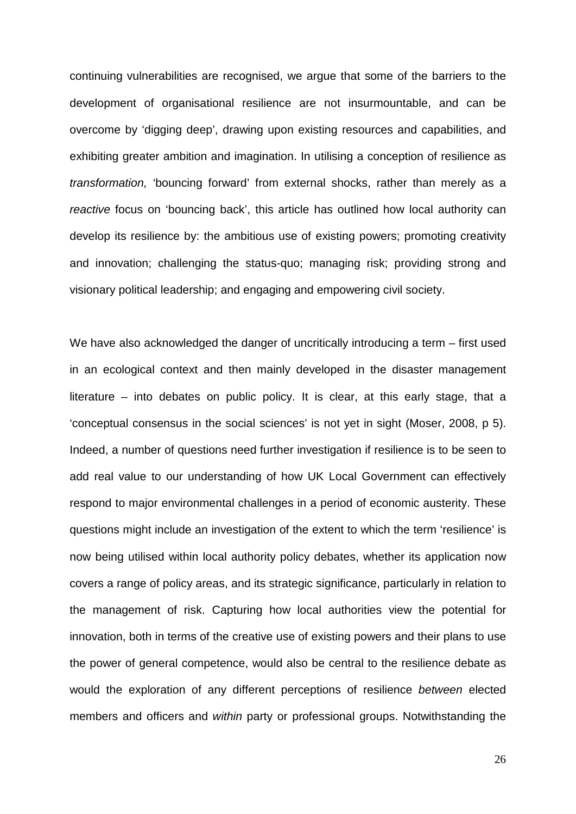continuing vulnerabilities are recognised, we argue that some of the barriers to the development of organisational resilience are not insurmountable, and can be overcome by 'digging deep', drawing upon existing resources and capabilities, and exhibiting greater ambition and imagination. In utilising a conception of resilience as transformation, 'bouncing forward' from external shocks, rather than merely as a reactive focus on 'bouncing back', this article has outlined how local authority can develop its resilience by: the ambitious use of existing powers; promoting creativity and innovation; challenging the status-quo; managing risk; providing strong and visionary political leadership; and engaging and empowering civil society.

We have also acknowledged the danger of uncritically introducing a term – first used in an ecological context and then mainly developed in the disaster management literature – into debates on public policy. It is clear, at this early stage, that a 'conceptual consensus in the social sciences' is not yet in sight (Moser, 2008, p 5). Indeed, a number of questions need further investigation if resilience is to be seen to add real value to our understanding of how UK Local Government can effectively respond to major environmental challenges in a period of economic austerity. These questions might include an investigation of the extent to which the term 'resilience' is now being utilised within local authority policy debates, whether its application now covers a range of policy areas, and its strategic significance, particularly in relation to the management of risk. Capturing how local authorities view the potential for innovation, both in terms of the creative use of existing powers and their plans to use the power of general competence, would also be central to the resilience debate as would the exploration of any different perceptions of resilience between elected members and officers and within party or professional groups. Notwithstanding the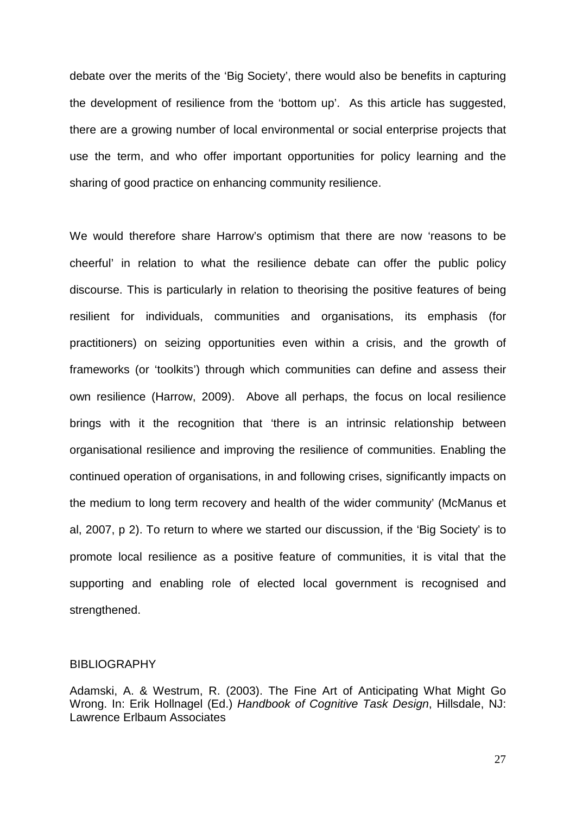debate over the merits of the 'Big Society', there would also be benefits in capturing the development of resilience from the 'bottom up'. As this article has suggested, there are a growing number of local environmental or social enterprise projects that use the term, and who offer important opportunities for policy learning and the sharing of good practice on enhancing community resilience.

We would therefore share Harrow's optimism that there are now 'reasons to be cheerful' in relation to what the resilience debate can offer the public policy discourse. This is particularly in relation to theorising the positive features of being resilient for individuals, communities and organisations, its emphasis (for practitioners) on seizing opportunities even within a crisis, and the growth of frameworks (or 'toolkits') through which communities can define and assess their own resilience (Harrow, 2009). Above all perhaps, the focus on local resilience brings with it the recognition that 'there is an intrinsic relationship between organisational resilience and improving the resilience of communities. Enabling the continued operation of organisations, in and following crises, significantly impacts on the medium to long term recovery and health of the wider community' (McManus et al, 2007, p 2). To return to where we started our discussion, if the 'Big Society' is to promote local resilience as a positive feature of communities, it is vital that the supporting and enabling role of elected local government is recognised and strengthened.

#### BIBLIOGRAPHY

Adamski, A. & Westrum, R. (2003). The Fine Art of Anticipating What Might Go Wrong. In: Erik Hollnagel (Ed.) Handbook of Cognitive Task Design, Hillsdale, NJ: Lawrence Erlbaum Associates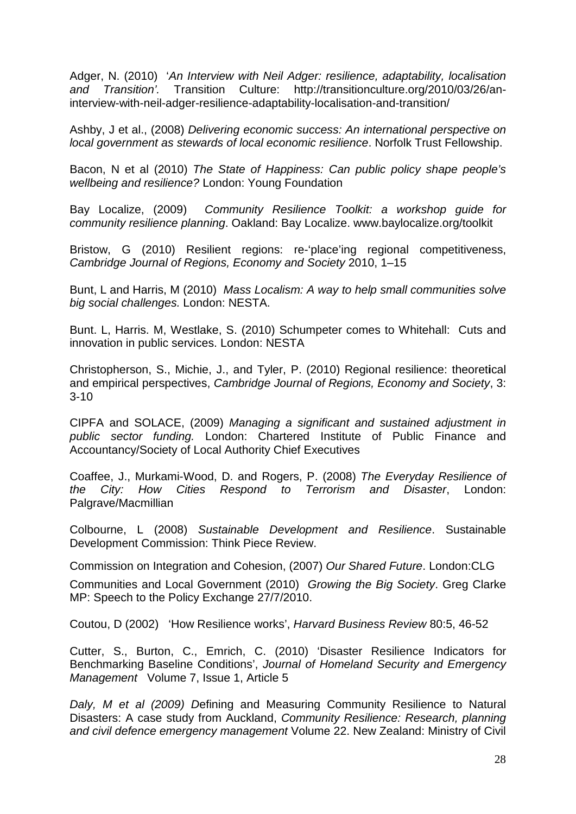Adger, N. (2010) 'An Interview with Neil Adger: resilience, adaptability, localisation and Transition'. Transition Culture: [http://transitionculture.org/2010/03/26/an](http://transitionculture.org/2010/03/26/an-interview-with-neil-adger-resilience-adaptability-localisation-and-transition/)[interview-with-neil-adger-resilience-adaptability-localisation-and-transition/](http://transitionculture.org/2010/03/26/an-interview-with-neil-adger-resilience-adaptability-localisation-and-transition/) 

Ashby, J et al., (2008) Delivering economic success: An international perspective on local government as stewards of local economic resilience. Norfolk Trust Fellowship.

Bacon, N et al (2010) The State of Happiness: Can public policy shape people's wellbeing and resilience? London: Young Foundation

Bay Localize, (2009) Community Resilience Toolkit: a workshop guide for community resilience planning. Oakland: Bay Localize. www.baylocalize.org/toolkit

Bristow, G (2010) Resilient regions: re-'place'ing regional competitiveness, Cambridge Journal of Regions, Economy and Society 2010, 1–15

Bunt, L and Harris, M (2010) Mass Localism: A way to help small communities solve big social challenges. London: NESTA.

Bunt. L, Harris. M, Westlake, S. (2010) Schumpeter comes to Whitehall: Cuts and innovation in public services. London: NESTA

Christopherson, S., Michie, J., and Tyler, P. (2010) Regional resilience: theoret**i**cal and empirical perspectives, Cambridge Journal of Regions, Economy and Society, 3: 3-10

CIPFA and SOLACE, (2009) Managing a significant and sustained adjustment in public sector funding. London: Chartered Institute of Public Finance and Accountancy/Society of Local Authority Chief Executives

Coaffee, J., Murkami-Wood, D. and Rogers, P. (2008) The Everyday Resilience of the City: How Cities Respond to Terrorism and Disaster, London: Palgrave/Macmillian

Colbourne, L (2008) Sustainable Development and Resilience. Sustainable Development Commission: Think Piece Review.

Commission on Integration and Cohesion, (2007) Our Shared Future. London:CLG

Communities and Local Government (2010) Growing the Big Society. Greg Clarke MP: Speech to the Policy Exchange 27/7/2010.

Coutou, D (2002) 'How Resilience works', Harvard Business Review 80:5, 46-52

Cutter, S., Burton, C., Emrich, C. (2010) 'Disaster Resilience Indicators for Benchmarking Baseline Conditions', Journal of Homeland Security and Emergency Management Volume 7, Issue 1, Article 5

Daly, M et al (2009) Defining and Measuring Community Resilience to Natural Disasters: A case study from Auckland, Community Resilience: Research, planning and civil defence emergency management Volume 22. New Zealand: Ministry of Civil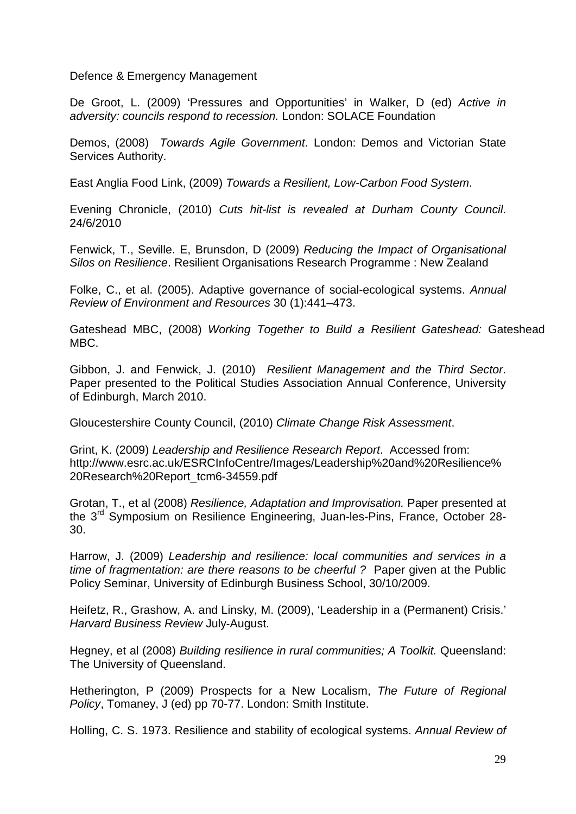Defence & Emergency Management

De Groot, L. (2009) 'Pressures and Opportunities' in Walker, D (ed) Active in adversity: councils respond to recession. London: SOLACE Foundation

Demos, (2008) Towards Agile Government. London: Demos and Victorian State Services Authority.

East Anglia Food Link, (2009) Towards a Resilient, Low-Carbon Food System.

Evening Chronicle, (2010) Cuts hit-list is revealed at Durham County Council. 24/6/2010

Fenwick, T., Seville. E, Brunsdon, D (2009) Reducing the Impact of Organisational Silos on Resilience. Resilient Organisations Research Programme : New Zealand

Folke, C., et al. (2005). Adaptive governance of social-ecological systems. Annual Review of Environment and Resources 30 (1):441–473.

Gateshead MBC, (2008) Working Together to Build a Resilient Gateshead: Gateshead MBC.

Gibbon, J. and Fenwick, J. (2010) Resilient Management and the Third Sector. Paper presented to the Political Studies Association Annual Conference, University of Edinburgh, March 2010.

Gloucestershire County Council, (2010) Climate Change Risk Assessment.

Grint, K. (2009) Leadership and Resilience Research Report. Accessed from: [http://www.esrc.ac.uk/ESRCInfoCentre/Images/Leadership%20and%20Resilience%](http://www.esrc.ac.uk/ESRCInfoCentre/Images/Leadership%20and%20Resilience%20Research%20Report_tcm6-34559.pdf) [20Research%20Report\\_tcm6-34559.pdf](http://www.esrc.ac.uk/ESRCInfoCentre/Images/Leadership%20and%20Resilience%20Research%20Report_tcm6-34559.pdf)

Grotan, T., et al (2008) Resilience, Adaptation and Improvisation. Paper presented at the 3rd Symposium on Resilience Engineering, Juan-les-Pins, France, October 28- 30.

Harrow, J. (2009) Leadership and resilience: local communities and services in a time of fragmentation: are there reasons to be cheerful ? Paper given at the Public Policy Seminar, University of Edinburgh Business School, 30/10/2009.

Heifetz, R., Grashow, A. and Linsky, M. (2009), 'Leadership in a (Permanent) Crisis.' Harvard Business Review July‐August.

Hegney, et al (2008) Building resilience in rural communities; A Toolkit. Queensland: The University of Queensland.

Hetherington, P (2009) Prospects for a New Localism, The Future of Regional Policy, Tomaney, J (ed) pp 70-77. London: Smith Institute.

Holling, C. S. 1973. Resilience and stability of ecological systems. Annual Review of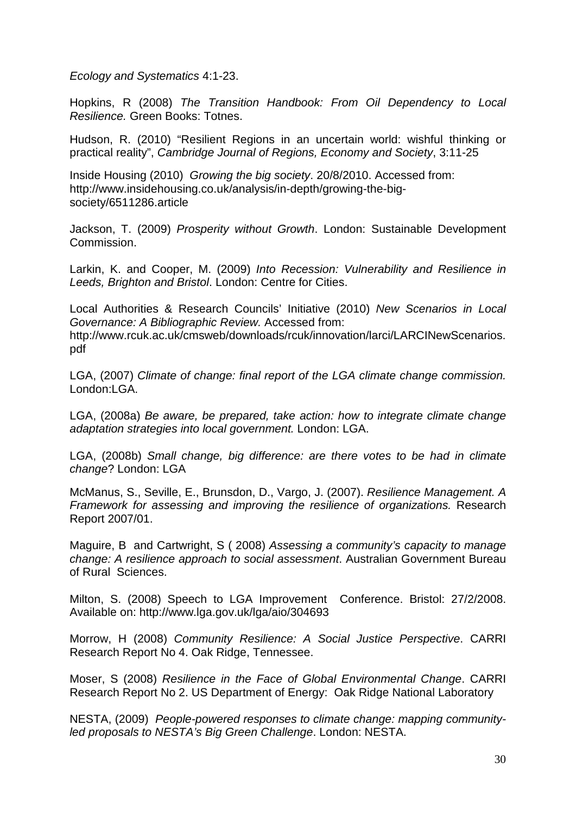Ecology and Systematics 4:1-23.

Hopkins, R (2008) The Transition Handbook: From Oil Dependency to Local Resilience. Green Books: Totnes.

Hudson, R. (2010) "Resilient Regions in an uncertain world: wishful thinking or practical reality", Cambridge Journal of Regions, Economy and Society, 3:11-25

Inside Housing (2010) Growing the big society. 20/8/2010. Accessed from: [http://www.insidehousing.co.uk/analysis/in-depth/growing-the-big](http://www.insidehousing.co.uk/analysis/in-depth/growing-the-big-society/6511286.article)[society/6511286.article](http://www.insidehousing.co.uk/analysis/in-depth/growing-the-big-society/6511286.article)

Jackson, T. (2009) Prosperity without Growth. London: Sustainable Development Commission.

Larkin, K. and Cooper, M. (2009) Into Recession: Vulnerability and Resilience in Leeds, Brighton and Bristol. London: Centre for Cities.

Local Authorities & Research Councils' Initiative (2010) New Scenarios in Local Governance: A Bibliographic Review. Accessed from: [http://www.rcuk.ac.uk/cmsweb/downloads/rcuk/innovation/larci/LARCINewScenarios.](http://www.rcuk.ac.uk/cmsweb/downloads/rcuk/innovation/larci/LARCINewScenarios.pdf) [pdf](http://www.rcuk.ac.uk/cmsweb/downloads/rcuk/innovation/larci/LARCINewScenarios.pdf)

LGA, (2007) Climate of change: final report of the LGA climate change commission. London:LGA

LGA, (2008a) Be aware, be prepared, take action: how to integrate climate change adaptation strategies into local government. London: LGA.

LGA, (2008b) Small change, big difference: are there votes to be had in climate change? London: LGA

McManus, S., Seville, E., Brunsdon, D., Vargo, J. (2007). Resilience Management. A Framework for assessing and improving the resilience of organizations. Research Report 2007/01.

Maguire, B and Cartwright, S ( 2008) Assessing a community's capacity to manage change: A resilience approach to social assessment. Australian Government Bureau of Rural Sciences.

Milton, S. (2008) Speech to LGA Improvement Conference. Bristol: 27/2/2008. Available on: <http://www.lga.gov.uk/lga/aio/304693>

Morrow, H (2008) Community Resilience: A Social Justice Perspective. CARRI Research Report No 4. Oak Ridge, Tennessee.

Moser, S (2008) Resilience in the Face of Global Environmental Change. CARRI Research Report No 2. US Department of Energy: Oak Ridge National Laboratory

NESTA, (2009) People-powered responses to climate change: mapping communityled proposals to NESTA's Big Green Challenge. London: NESTA.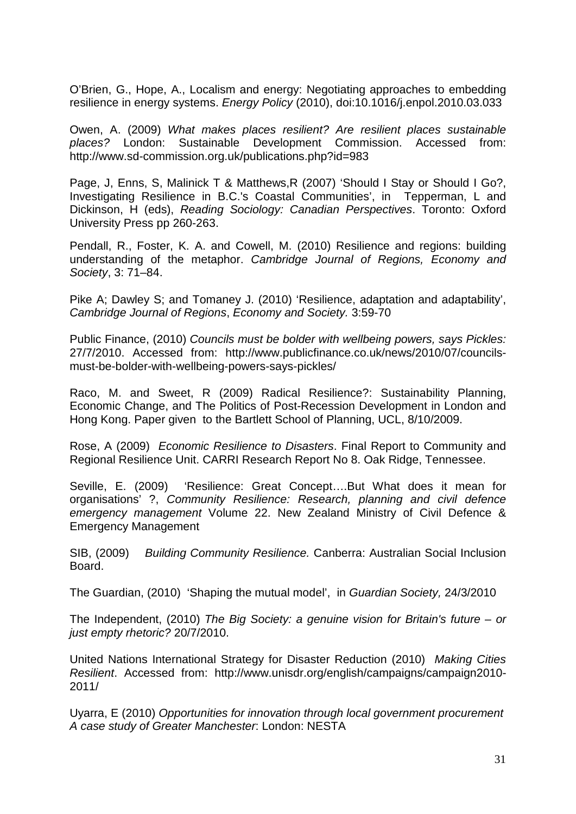O'Brien, G., Hope, A., Localism and energy: Negotiating approaches to embedding resilience in energy systems. Energy Policy (2010), doi:10.1016/j.enpol.2010.03.033

Owen, A. (2009) What makes places resilient? Are resilient places sustainable places? London: Sustainable Development Commission. Accessed from: <http://www.sd-commission.org.uk/publications.php?id=983>

Page, J, Enns, S, Malinick T & Matthews,R (2007) 'Should I Stay or Should I Go?, Investigating Resilience in B.C.'s Coastal Communities', in Tepperman, L and Dickinson, H (eds), Reading Sociology: Canadian Perspectives. Toronto: Oxford University Press pp 260-263.

Pendall, R., Foster, K. A. and Cowell, M. (2010) Resilience and regions: building understanding of the metaphor. Cambridge Journal of Regions, Economy and Society, 3: 71–84.

Pike A; Dawley S; and Tomaney J. (2010) 'Resilience, adaptation and adaptability', Cambridge Journal of Regions, Economy and Society. 3:59-70

Public Finance, (2010) Councils must be bolder with wellbeing powers, says Pickles: 27/7/2010. Accessed from: [http://www.publicfinance.co.uk/news/2010/07/councils](http://www.publicfinance.co.uk/news/2010/07/councils-must-be-bolder-with-wellbeing-powers-says-pickles/)[must-be-bolder-with-wellbeing-powers-says-pickles/](http://www.publicfinance.co.uk/news/2010/07/councils-must-be-bolder-with-wellbeing-powers-says-pickles/) 

Raco, M. and Sweet, R (2009) Radical Resilience?: Sustainability Planning, Economic Change, and The Politics of Post-Recession Development in London and Hong Kong. Paper given to the Bartlett School of Planning, UCL, 8/10/2009.

Rose, A (2009) Economic Resilience to Disasters. Final Report to Community and Regional Resilience Unit. CARRI Research Report No 8. Oak Ridge, Tennessee.

Seville, E. (2009) 'Resilience: Great Concept….But What does it mean for organisations' ?, Community Resilience: Research, planning and civil defence emergency management Volume 22. New Zealand Ministry of Civil Defence & Emergency Management

SIB, (2009) Building Community Resilience. Canberra: Australian Social Inclusion Board.

The Guardian, (2010) 'Shaping the mutual model', in Guardian Society, 24/3/2010

The Independent, (2010) The Big Society: a genuine vision for Britain's future – or just empty rhetoric? 20/7/2010.

United Nations International Strategy for Disaster Reduction (2010) Making Cities Resilient. Accessed from: [http://www.unisdr.org/english/campaigns/campaign2010-](http://www.unisdr.org/english/campaigns/campaign2010-2011/) [2011/](http://www.unisdr.org/english/campaigns/campaign2010-2011/)

Uyarra, E (2010) Opportunities for innovation through local government procurement A case study of Greater Manchester: London: NESTA